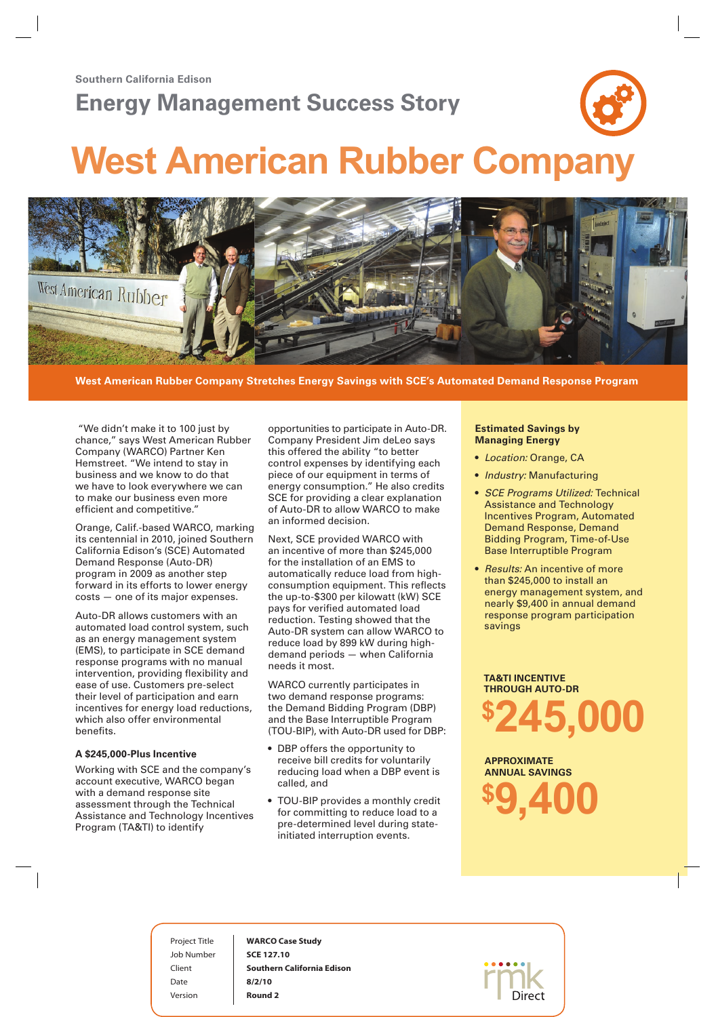## **Energy Management Success Story**



# **West American Rubber Company**



**West American Rubber Company Stretches Energy Savings with SCE's Automated Demand Response Program** 

"We didn't make it to 100 just by chance," says West American Rubber Company (WARCO) Partner Ken Hemstreet. "We intend to stay in business and we know to do that we have to look everywhere we can to make our business even more efficient and competitive."

Orange, Calif.-based WARCO, marking its centennial in 2010, joined Southern California Edison's (SCE) Automated Demand Response (Auto-DR) program in 2009 as another step forward in its efforts to lower energy costs — one of its major expenses.

Auto-DR allows customers with an automated load control system, such as an energy management system (EMS), to participate in SCE demand response programs with no manual intervention, providing flexibility and ease of use. Customers pre-select their level of participation and earn incentives for energy load reductions, which also offer environmental benefits.

#### **A \$245,000-Plus Incentive**

Working with SCE and the company's account executive, WARCO began with a demand response site assessment through the Technical Assistance and Technology Incentives Program (TA&TI) to identify

opportunities to participate in Auto-DR. Company President Jim deLeo says this offered the ability "to better control expenses by identifying each piece of our equipment in terms of energy consumption." He also credits SCE for providing a clear explanation of Auto-DR to allow WARCO to make an informed decision.

Next, SCE provided WARCO with an incentive of more than \$245,000 for the installation of an EMS to automatically reduce load from highconsumption equipment. This reflects the up-to-\$300 per kilowatt (kW) SCE pays for verified automated load reduction. Testing showed that the Auto-DR system can allow WARCO to reduce load by 899 kW during highdemand periods — when California needs it most.

WARCO currently participates in two demand response programs: the Demand Bidding Program (DBP) and the Base Interruptible Program (TOU-BIP), with Auto-DR used for DBP:

- DBP offers the opportunity to receive bill credits for voluntarily reducing load when a DBP event is called, and
- TOU-BIP provides a monthly credit for committing to reduce load to a pre-determined level during stateinitiated interruption events.

#### **Estimated Savings by Managing Energy**

- • *Location:* Orange, CA
- • *Industry:* Manufacturing
- • *SCE Programs Utilized:* Technical Assistance and Technology Incentives Program, Automated Demand Response, Demand Bidding Program, Time-of-Use Base Interruptible Program
- *Results:* An incentive of more than \$245,000 to install an energy management system, and nearly \$9,400 in annual demand response program participation savings

**TA&TI incentive through Auto-DR \$245,000**

**approximate annual savings \$9,400**